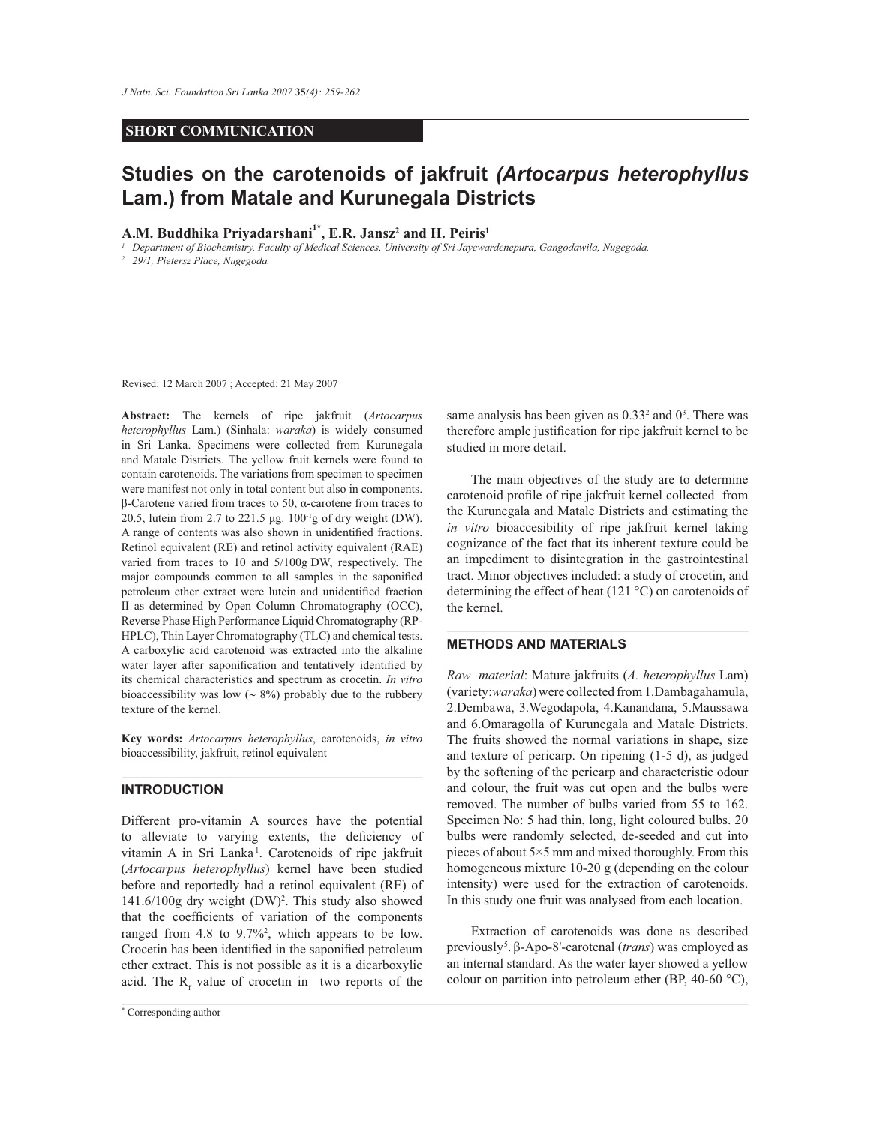# **SHORT COMMUNICATION**

# **Studies on the carotenoids of jakfruit** *(Artocarpus heterophyllus*  **Lam.) from Matale and Kurunegala Districts**

**A.M. Buddhika Priyadarshani1\*, E.R. Jansz<sup>2</sup> and H. Peiris<sup>1</sup>**

*1 Department of Biochemistry, Faculty of Medical Sciences, University of Sri Jayewardenepura, Gangodawila, Nugegoda.*

*2 29/1, Pietersz Place, Nugegoda.*

Revised: 12 March 2007 ; Accepted: 21 May 2007

**Abstract:** The kernels of ripe jakfruit (*Artocarpus heterophyllus* Lam.) (Sinhala: *waraka*) is widely consumed in Sri Lanka. Specimens were collected from Kurunegala and Matale Districts. The yellow fruit kernels were found to contain carotenoids. The variations from specimen to specimen were manifest not only in total content but also in components. β-Carotene varied from traces to 50, α-carotene from traces to 20.5, lutein from 2.7 to 221.5 μg.  $100^{-1}$ g of dry weight (DW). A range of contents was also shown in unidentified fractions. Retinol equivalent (RE) and retinol activity equivalent (RAE) varied from traces to 10 and 5/100g DW, respectively. The major compounds common to all samples in the saponified petroleum ether extract were lutein and unidentified fraction II as determined by Open Column Chromatography (OCC), Reverse Phase High Performance Liquid Chromatography (RP-HPLC), Thin Layer Chromatography (TLC) and chemical tests. A carboxylic acid carotenoid was extracted into the alkaline water layer after saponification and tentatively identified by its chemical characteristics and spectrum as crocetin. *In vitro* bioaccessibility was low (∼ 8%) probably due to the rubbery texture of the kernel.

**Key words:** *Artocarpus heterophyllus*, carotenoids, *in vitro* bioaccessibility, jakfruit, retinol equivalent

#### **INTRODUCTION**

Different pro-vitamin A sources have the potential to alleviate to varying extents, the deficiency of vitamin A in Sri Lanka<sup>1</sup>. Carotenoids of ripe jakfruit (*Artocarpus heterophyllus*) kernel have been studied before and reportedly had a retinol equivalent (RE) of 141.6/100g dry weight (DW)<sup>2</sup> . This study also showed that the coefficients of variation of the components ranged from 4.8 to 9.7%<sup>2</sup>, which appears to be low. Crocetin has been identified in the saponified petroleum ether extract. This is not possible as it is a dicarboxylic acid. The  $R_f$  value of crocetin in two reports of the

same analysis has been given as  $0.33<sup>2</sup>$  and  $0<sup>3</sup>$ . There was therefore ample justification for ripe jakfruit kernel to be studied in more detail.

 The main objectives of the study are to determine carotenoid profile of ripe jakfruit kernel collected from the Kurunegala and Matale Districts and estimating the *in vitro* bioaccesibility of ripe jakfruit kernel taking cognizance of the fact that its inherent texture could be an impediment to disintegration in the gastrointestinal tract. Minor objectives included: a study of crocetin, and determining the effect of heat (121 °C) on carotenoids of the kernel.

# **METHODS AND MATERIALS**

*Raw material*: Mature jakfruits (*A. heterophyllus* Lam) (variety:*waraka*) were collected from 1.Dambagahamula, 2.Dembawa, 3.Wegodapola, 4.Kanandana, 5.Maussawa and 6.Omaragolla of Kurunegala and Matale Districts. The fruits showed the normal variations in shape, size and texture of pericarp. On ripening (1-5 d), as judged by the softening of the pericarp and characteristic odour and colour, the fruit was cut open and the bulbs were removed. The number of bulbs varied from 55 to 162. Specimen No: 5 had thin, long, light coloured bulbs. 20 bulbs were randomly selected, de-seeded and cut into pieces of about 5×5 mm and mixed thoroughly. From this homogeneous mixture 10-20 g (depending on the colour intensity) were used for the extraction of carotenoids. In this study one fruit was analysed from each location.

 Extraction of carotenoids was done as described previously<sup>5</sup> .β-Apo-8'-carotenal (*trans*) was employed as an internal standard. As the water layer showed a yellow colour on partition into petroleum ether (BP, 40-60  $^{\circ}$ C),

*Journal of the National Science Foundation of Sri Lanka 35 (4) December 2007* \* Corresponding author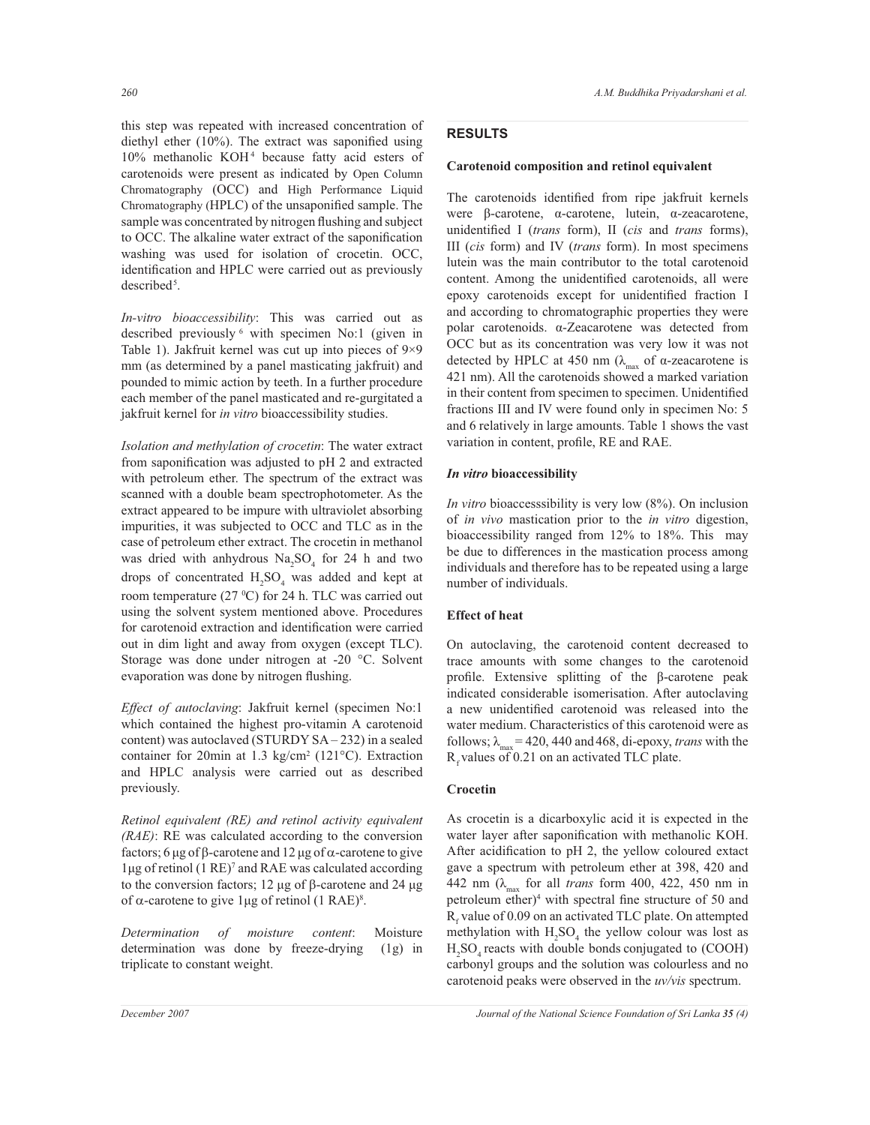this step was repeated with increased concentration of diethyl ether (10%). The extract was saponified using 10% methanolic KOH<sup>4</sup> because fatty acid esters of carotenoids were present as indicated by Open Column Chromatography (OCC) and High Performance Liquid Chromatography (HPLC) of the unsaponified sample. The sample was concentrated by nitrogen flushing and subject to OCC. The alkaline water extract of the saponification washing was used for isolation of crocetin. OCC, identification and HPLC were carried out as previously described<sup>5</sup>.

*In-vitro bioaccessibility*: This was carried out as described previously <sup>6</sup> with specimen No:1 (given in Table 1). Jakfruit kernel was cut up into pieces of 9×9 mm (as determined by a panel masticating jakfruit) and pounded to mimic action by teeth. In a further procedure each member of the panel masticated and re-gurgitated a jakfruit kernel for *in vitro* bioaccessibility studies.

*Isolation and methylation of crocetin*: The water extract from saponification was adjusted to pH 2 and extracted with petroleum ether. The spectrum of the extract was scanned with a double beam spectrophotometer. As the extract appeared to be impure with ultraviolet absorbing impurities, it was subjected to OCC and TLC as in the case of petroleum ether extract. The crocetin in methanol was dried with anhydrous  $\text{Na}_2\text{SO}_4$  for 24 h and two drops of concentrated  $H_2SO_4$  was added and kept at room temperature  $(27 \text{ °C})$  for 24 h. TLC was carried out using the solvent system mentioned above. Procedures for carotenoid extraction and identification were carried out in dim light and away from oxygen (except TLC). Storage was done under nitrogen at -20 °C. Solvent evaporation was done by nitrogen flushing.

*Effect of autoclaving*: Jakfruit kernel (specimen No:1 which contained the highest pro-vitamin A carotenoid content) was autoclaved (STURDY SA – 232) in a sealed container for 20min at 1.3 kg/cm<sup>2</sup> (121°C). Extraction and HPLC analysis were carried out as described previously.

*Retinol equivalent (RE) and retinol activity equivalent (RAE)*: RE was calculated according to the conversion factors; 6 μg of β-carotene and 12 μg of α-carotene to give 1μg of retinol (1 RE)<sup>7</sup> and RAE was calculated according to the conversion factors; 12 μg of β-carotene and 24 μg of  $\alpha$ -carotene to give 1µg of retinol (1 RAE)<sup>8</sup>.

*Determination of moisture content*: Moisture determination was done by freeze-drying (1g) in triplicate to constant weight.

# **RESULTS**

## **Carotenoid composition and retinol equivalent**

The carotenoids identified from ripe jakfruit kernels were β-carotene, α-carotene, lutein, α-zeacarotene, unidentified I (*trans* form), II (*cis* and *trans* forms), III (*cis* form) and IV (*trans* form). In most specimens lutein was the main contributor to the total carotenoid content. Among the unidentified carotenoids, all were epoxy carotenoids except for unidentified fraction I and according to chromatographic properties they were polar carotenoids. α-Zeacarotene was detected from OCC but as its concentration was very low it was not detected by HPLC at 450 nm ( $\lambda_{\text{max}}$  of α-zeacarotene is 421 nm). All the carotenoids showed a marked variation in their content from specimen to specimen. Unidentified fractions III and IV were found only in specimen No: 5 and 6 relatively in large amounts. Table 1 shows the vast variation in content, profile, RE and RAE.

#### *In vitro* **bioaccessibility**

*In vitro* bioaccesssibility is very low (8%). On inclusion of *in vivo* mastication prior to the *in vitro* digestion, bioaccessibility ranged from 12% to 18%. This may be due to differences in the mastication process among individuals and therefore has to be repeated using a large number of individuals.

# **Effect of heat**

On autoclaving, the carotenoid content decreased to trace amounts with some changes to the carotenoid profile. Extensive splitting of the β-carotene peak indicated considerable isomerisation. After autoclaving a new unidentified carotenoid was released into the water medium. Characteristics of this carotenoid were as follows;  $\lambda_{\text{max}} = 420, 440 \text{ and } 468, \text{ di-epoxy},$  *trans* with the  $R_f$  values of 0.21 on an activated TLC plate.

# **Crocetin**

As crocetin is a dicarboxylic acid it is expected in the water layer after saponification with methanolic KOH. After acidification to pH 2, the yellow coloured extact gave a spectrum with petroleum ether at 398, 420 and 442 nm (λ<sub>max</sub> for all *trans* form 400, 422, 450 nm in petroleum ether)<sup>4</sup> with spectral fine structure of 50 and  $R_f$  value of 0.09 on an activated TLC plate. On attempted methylation with  $H_2SO_4$  the yellow colour was lost as  $H_2SO_4$  reacts with double bonds conjugated to (COOH) carbonyl groups and the solution was colourless and no carotenoid peaks were observed in the *uv/vis* spectrum.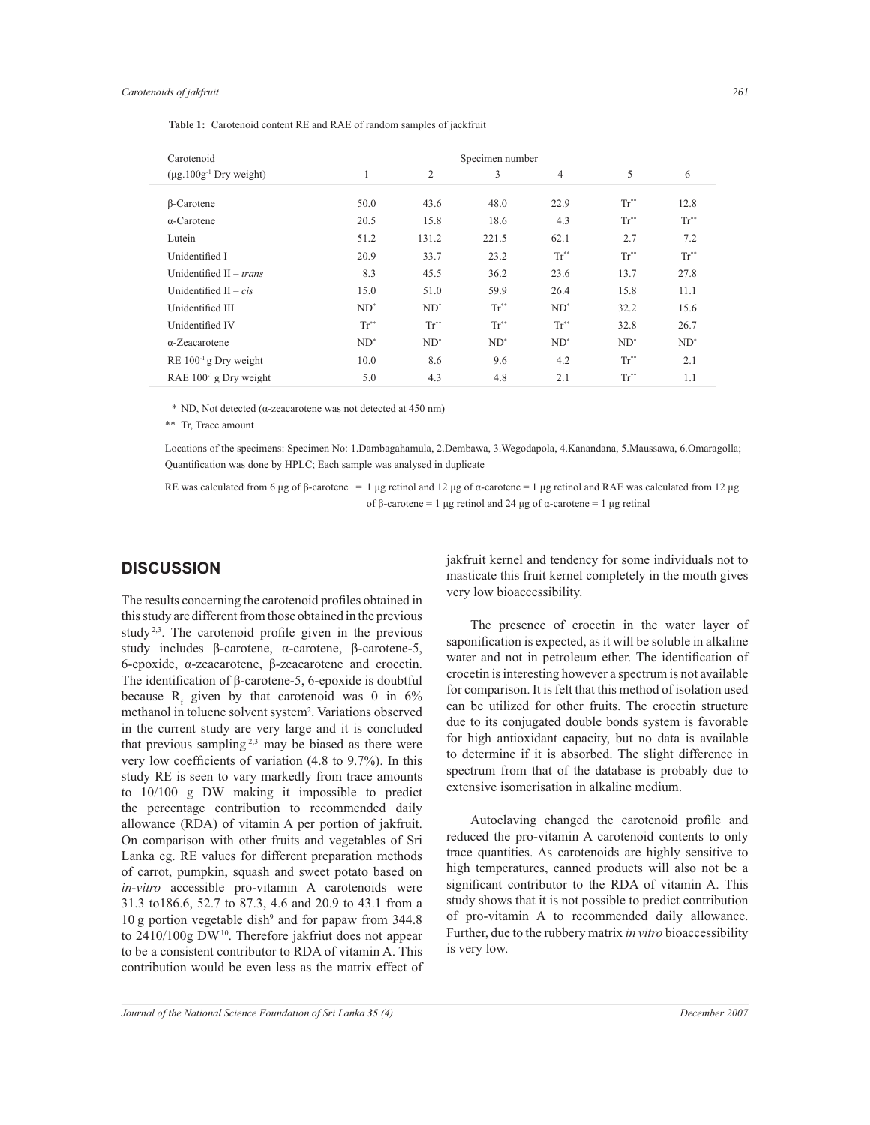| Carotenoid                              | Specimen number |                 |           |                          |                  |                        |
|-----------------------------------------|-----------------|-----------------|-----------|--------------------------|------------------|------------------------|
| $(\mu$ g.100g <sup>-1</sup> Dry weight) | 1               | 2               | 3         | 4                        | 5                | 6                      |
|                                         |                 |                 |           |                          |                  |                        |
| $\beta$ -Carotene                       | 50.0            | 43.6            | 48.0      | 22.9                     | $Tr^*$           | 12.8                   |
| $\alpha$ -Carotene                      | 20.5            | 15.8            | 18.6      | 4.3                      | $Tr^*$           | $\text{Tr}^{\ast\ast}$ |
| Lutein                                  | 51.2            | 131.2           | 221.5     | 62.1                     | 2.7              | 7.2                    |
| Unidentified I                          | 20.9            | 33.7            | 23.2      | $Tr^{**}$                | $Tr^{**}$        | $Tr^{**}$              |
| Unidentified $II - trans$               | 8.3             | 45.5            | 36.2      | 23.6                     | 13.7             | 27.8                   |
| Unidentified $H - cis$                  | 15.0            | 51.0            | 59.9      | 26.4                     | 15.8             | 11.1                   |
| Unidentified III                        | $ND^*$          | $ND^*$          | $Tr^{**}$ | $ND^*$                   | 32.2             | 15.6                   |
| Unidentified IV                         | $Tr^{\ast\ast}$ | $Tr^{\ast\ast}$ | $Tr^*$    | $\operatorname{Tr}^{**}$ | 32.8             | 26.7                   |
| $\alpha$ -Zeacarotene                   | $ND^*$          | $ND^*$          | $ND^*$    | $ND^*$                   | $ND^*$           | $ND^*$                 |
| $RE 100-1 g Dry weight$                 | 10.0            | 8.6             | 9.6       | 4.2                      | $\text{Tr}^{**}$ | 2.1                    |
| RAE 100 <sup>-1</sup> g Dry weight      | 5.0             | 4.3             | 4.8       | 2.1                      | $Tr^*$           | 1.1                    |

**Table 1:** Carotenoid content RE and RAE of random samples of jackfruit

\* ND, Not detected (α-zeacarotene was not detected at 450 nm)

\*\* Tr, Trace amount

Locations of the specimens: Specimen No: 1.Dambagahamula, 2.Dembawa, 3.Wegodapola, 4.Kanandana, 5.Maussawa, 6.Omaragolla; Quantification was done by HPLC; Each sample was analysed in duplicate

RE was calculated from 6 μg of β-carotene = 1 μg retinol and 12 μg of  $\alpha$ -carotene = 1 μg retinol and RAE was calculated from 12 μg of β-carotene = 1 μg retinol and 24 μg of α-carotene = 1 μg retinal

# **DISCUSSION**

The results concerning the carotenoid profiles obtained in this study are different from those obtained in the previous study<sup>2,3</sup>. The carotenoid profile given in the previous study includes β-carotene, α-carotene, β-carotene-5, 6-epoxide, α-zeacarotene, β-zeacarotene and crocetin. The identification of β-carotene-5, 6-epoxide is doubtful because  $R_f$  given by that carotenoid was 0 in 6% methanol in toluene solvent system<sup>2</sup> . Variations observed in the current study are very large and it is concluded that previous sampling<sup>2,3</sup> may be biased as there were very low coefficients of variation (4.8 to 9.7%). In this study RE is seen to vary markedly from trace amounts to 10/100 g DW making it impossible to predict the percentage contribution to recommended daily allowance (RDA) of vitamin A per portion of jakfruit. On comparison with other fruits and vegetables of Sri Lanka eg. RE values for different preparation methods of carrot, pumpkin, squash and sweet potato based on *in-vitro* accessible pro-vitamin A carotenoids were 31.3 to186.6, 52.7 to 87.3, 4.6 and 20.9 to 43.1 from a 10 g portion vegetable dish<sup>9</sup> and for papaw from 344.8 to  $2410/100g$  DW<sup>10</sup>. Therefore jakfriut does not appear to be a consistent contributor to RDA of vitamin A. This contribution would be even less as the matrix effect of jakfruit kernel and tendency for some individuals not to masticate this fruit kernel completely in the mouth gives very low bioaccessibility.

 The presence of crocetin in the water layer of saponification is expected, as it will be soluble in alkaline water and not in petroleum ether. The identification of crocetin is interesting however a spectrum is not available for comparison. It is felt that this method of isolation used can be utilized for other fruits. The crocetin structure due to its conjugated double bonds system is favorable for high antioxidant capacity, but no data is available to determine if it is absorbed. The slight difference in spectrum from that of the database is probably due to extensive isomerisation in alkaline medium.

 Autoclaving changed the carotenoid profile and reduced the pro-vitamin A carotenoid contents to only trace quantities. As carotenoids are highly sensitive to high temperatures, canned products will also not be a significant contributor to the RDA of vitamin A. This study shows that it is not possible to predict contribution of pro-vitamin A to recommended daily allowance. Further, due to the rubbery matrix *in vitro* bioaccessibility is very low.